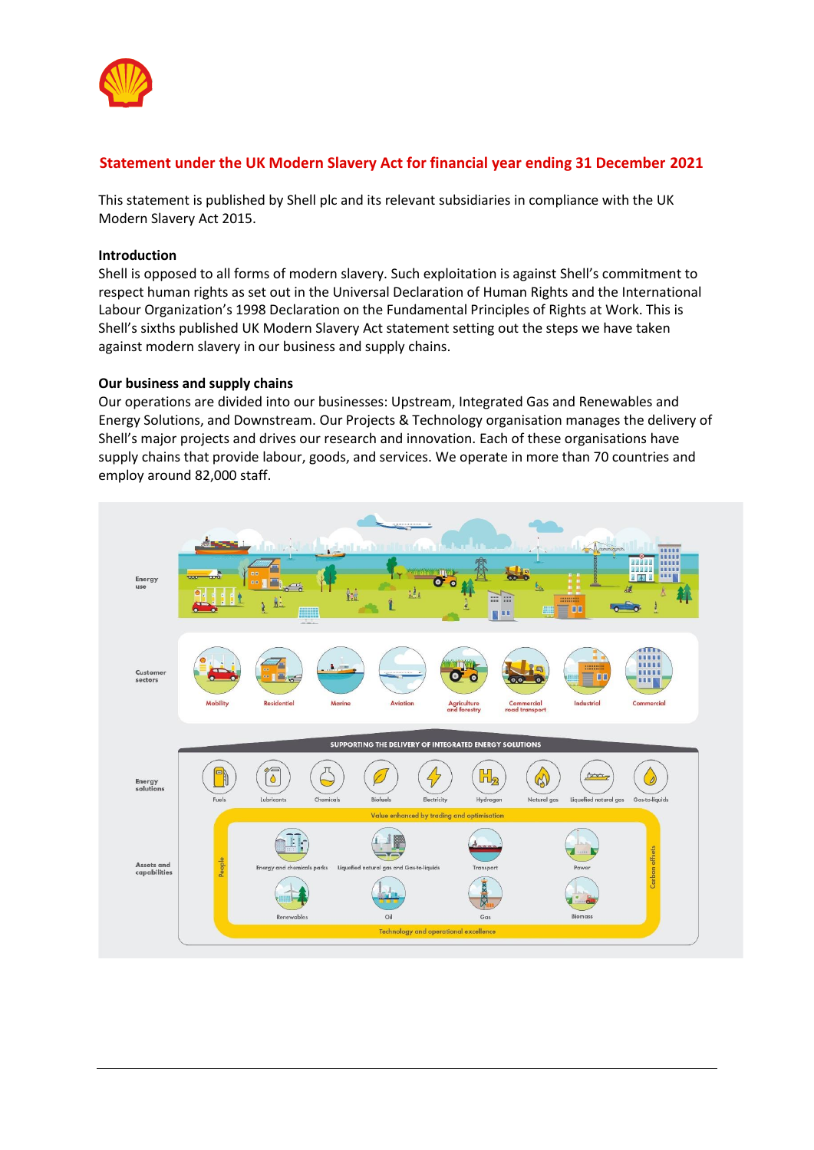

# **Statement under the UK Modern Slavery Act for financial year ending 31 December 2021**

This statement is published by Shell plc and its relevant subsidiaries in compliance with the UK Modern Slavery Act 2015.

### **Introduction**

Shell is opposed to all forms of modern slavery. Such exploitation is against Shell's commitment to respect human rights as set out in the Universal Declaration of Human Rights and the International Labour Organization's 1998 Declaration on the Fundamental Principles of Rights at Work. This is Shell's sixths published UK Modern Slavery Act statement setting out the steps we have taken against modern slavery in our business and supply chains.

#### **Our business and supply chains**

Our operations are divided into our businesses: Upstream, Integrated Gas and Renewables and Energy Solutions, and Downstream. Our Projects & Technology organisation manages the delivery of Shell's major projects and drives our research and innovation. Each of these organisations have supply chains that provide labour, goods, and services. We operate in more than 70 countries and employ around 82,000 staff.

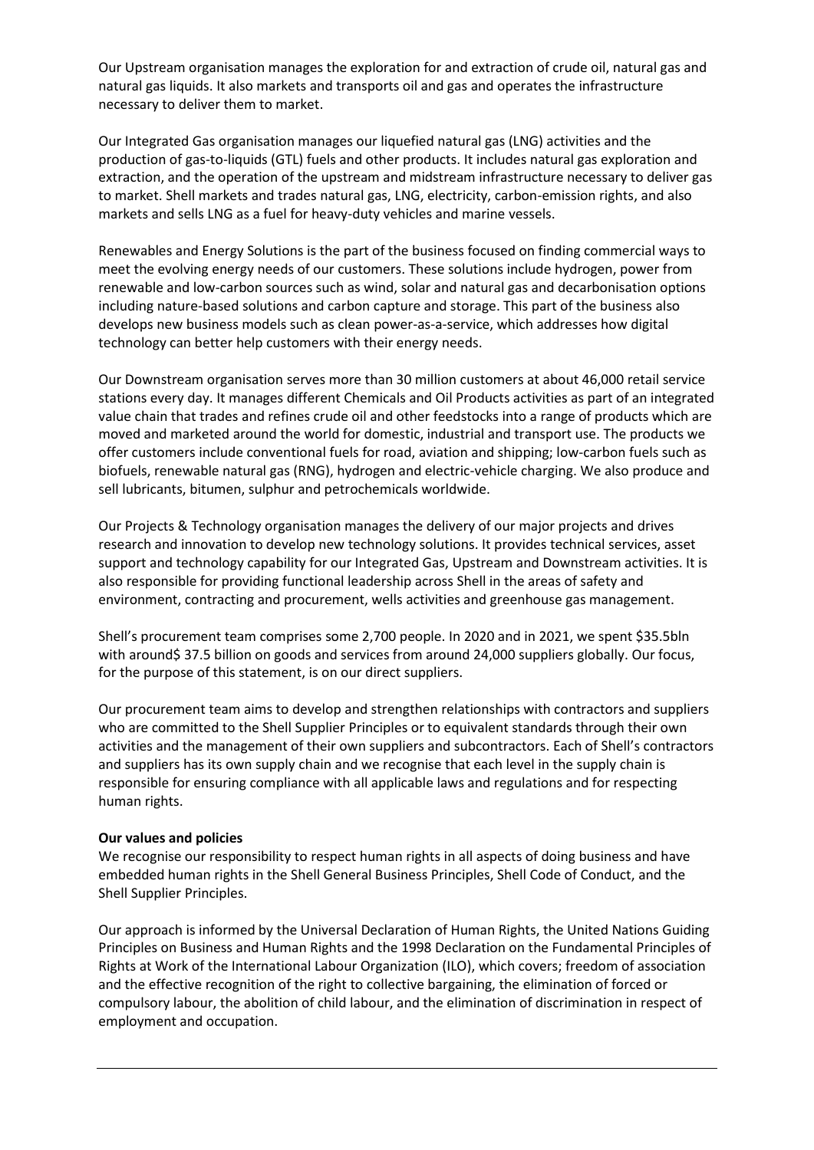Our Upstream organisation manages the exploration for and extraction of crude oil, natural gas and natural gas liquids. It also markets and transports oil and gas and operates the infrastructure necessary to deliver them to market.

Our Integrated Gas organisation manages our liquefied natural gas (LNG) activities and the production of gas-to-liquids (GTL) fuels and other products. It includes natural gas exploration and extraction, and the operation of the upstream and midstream infrastructure necessary to deliver gas to market. Shell markets and trades natural gas, LNG, electricity, carbon-emission rights, and also markets and sells LNG as a fuel for heavy-duty vehicles and marine vessels.

Renewables and Energy Solutions is the part of the business focused on finding commercial ways to meet the evolving energy needs of our customers. These solutions include hydrogen, power from renewable and low-carbon sources such as wind, solar and natural gas and decarbonisation options including nature-based solutions and carbon capture and storage. This part of the business also develops new business models such as clean power-as-a-service, which addresses how digital technology can better help customers with their energy needs.

Our Downstream organisation serves more than 30 million customers at about 46,000 retail service stations every day. It manages different Chemicals and Oil Products activities as part of an integrated value chain that trades and refines crude oil and other feedstocks into a range of products which are moved and marketed around the world for domestic, industrial and transport use. The products we offer customers include conventional fuels for road, aviation and shipping; low-carbon fuels such as biofuels, renewable natural gas (RNG), hydrogen and electric-vehicle charging. We also produce and sell lubricants, bitumen, sulphur and petrochemicals worldwide.

Our Projects & Technology organisation manages the delivery of our major projects and drives research and innovation to develop new technology solutions. It provides technical services, asset support and technology capability for our Integrated Gas, Upstream and Downstream activities. It is also responsible for providing functional leadership across Shell in the areas of safety and environment, contracting and procurement, wells activities and greenhouse gas management.

Shell's procurement team comprises some 2,700 people. In 2020 and in 2021, we spent \$35.5bln with around\$ 37.5 billion on goods and services from around 24,000 suppliers globally. Our focus, for the purpose of this statement, is on our direct suppliers.

Our procurement team aims to develop and strengthen relationships with contractors and suppliers who are committed to the Shell Supplier Principles or to equivalent standards through their own activities and the management of their own suppliers and subcontractors. Each of Shell's contractors and suppliers has its own supply chain and we recognise that each level in the supply chain is responsible for ensuring compliance with all applicable laws and regulations and for respecting human rights.

### **Our values and policies**

We recognise our responsibility to respect human rights in all aspects of doing business and have embedded human rights in the Shell General Business Principles, Shell Code of Conduct, and the Shell Supplier Principles.

Our approach is informed by the Universal Declaration of Human Rights, the United Nations Guiding Principles on Business and Human Rights and the 1998 Declaration on the Fundamental Principles of Rights at Work of the International Labour Organization (ILO), which covers; freedom of association and the effective recognition of the right to collective bargaining, the elimination of forced or compulsory labour, the abolition of child labour, and the elimination of discrimination in respect of employment and occupation.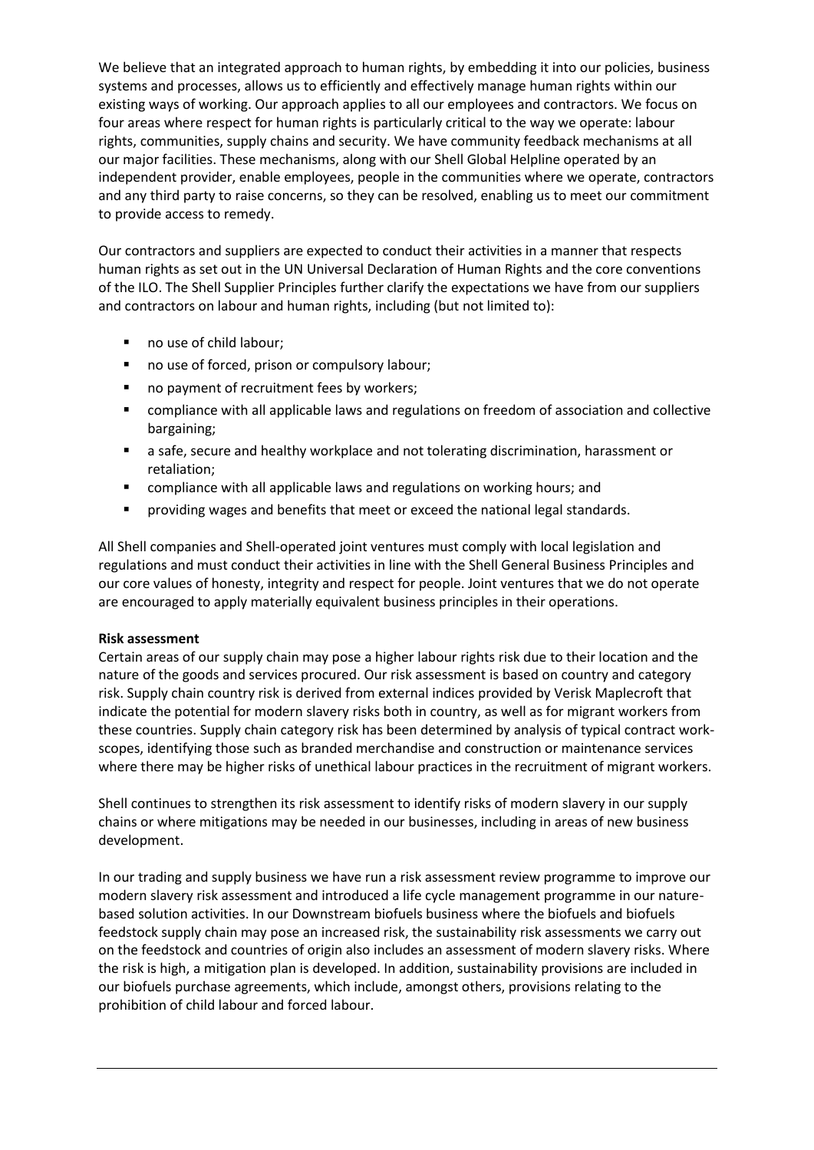We believe that an integrated approach to human rights, by embedding it into our policies, business systems and processes, allows us to efficiently and effectively manage human rights within our existing ways of working. Our approach applies to all our employees and contractors. We focus on four areas where respect for human rights is particularly critical to the way we operate: labour rights, communities, supply chains and security. We have community feedback mechanisms at all our major facilities. These mechanisms, along with our Shell Global Helpline operated by an independent provider, enable employees, people in the communities where we operate, contractors and any third party to raise concerns, so they can be resolved, enabling us to meet our commitment to provide access to remedy.

Our contractors and suppliers are expected to conduct their activities in a manner that respects human rights as set out in the UN Universal Declaration of Human Rights and the core conventions of the ILO. The Shell Supplier Principles further clarify the expectations we have from our suppliers and contractors on labour and human rights, including (but not limited to):

- no use of child labour;
- no use of forced, prison or compulsory labour;
- no payment of recruitment fees by workers;
- compliance with all applicable laws and regulations on freedom of association and collective bargaining;
- a safe, secure and healthy workplace and not tolerating discrimination, harassment or retaliation;
- compliance with all applicable laws and regulations on working hours; and
- **•** providing wages and benefits that meet or exceed the national legal standards.

All Shell companies and Shell-operated joint ventures must comply with local legislation and regulations and must conduct their activities in line with the Shell General Business Principles and our core values of honesty, integrity and respect for people. Joint ventures that we do not operate are encouraged to apply materially equivalent business principles in their operations.

# **Risk assessment**

Certain areas of our supply chain may pose a higher labour rights risk due to their location and the nature of the goods and services procured. Our risk assessment is based on country and category risk. Supply chain country risk is derived from external indices provided by Verisk Maplecroft that indicate the potential for modern slavery risks both in country, as well as for migrant workers from these countries. Supply chain category risk has been determined by analysis of typical contract workscopes, identifying those such as branded merchandise and construction or maintenance services where there may be higher risks of unethical labour practices in the recruitment of migrant workers.

Shell continues to strengthen its risk assessment to identify risks of modern slavery in our supply chains or where mitigations may be needed in our businesses, including in areas of new business development.

In our trading and supply business we have run a risk assessment review programme to improve our modern slavery risk assessment and introduced a life cycle management programme in our naturebased solution activities. In our Downstream biofuels business where the biofuels and biofuels feedstock supply chain may pose an increased risk, the sustainability risk assessments we carry out on the feedstock and countries of origin also includes an assessment of modern slavery risks. Where the risk is high, a mitigation plan is developed. In addition, sustainability provisions are included in our biofuels purchase agreements, which include, amongst others, provisions relating to the prohibition of child labour and forced labour.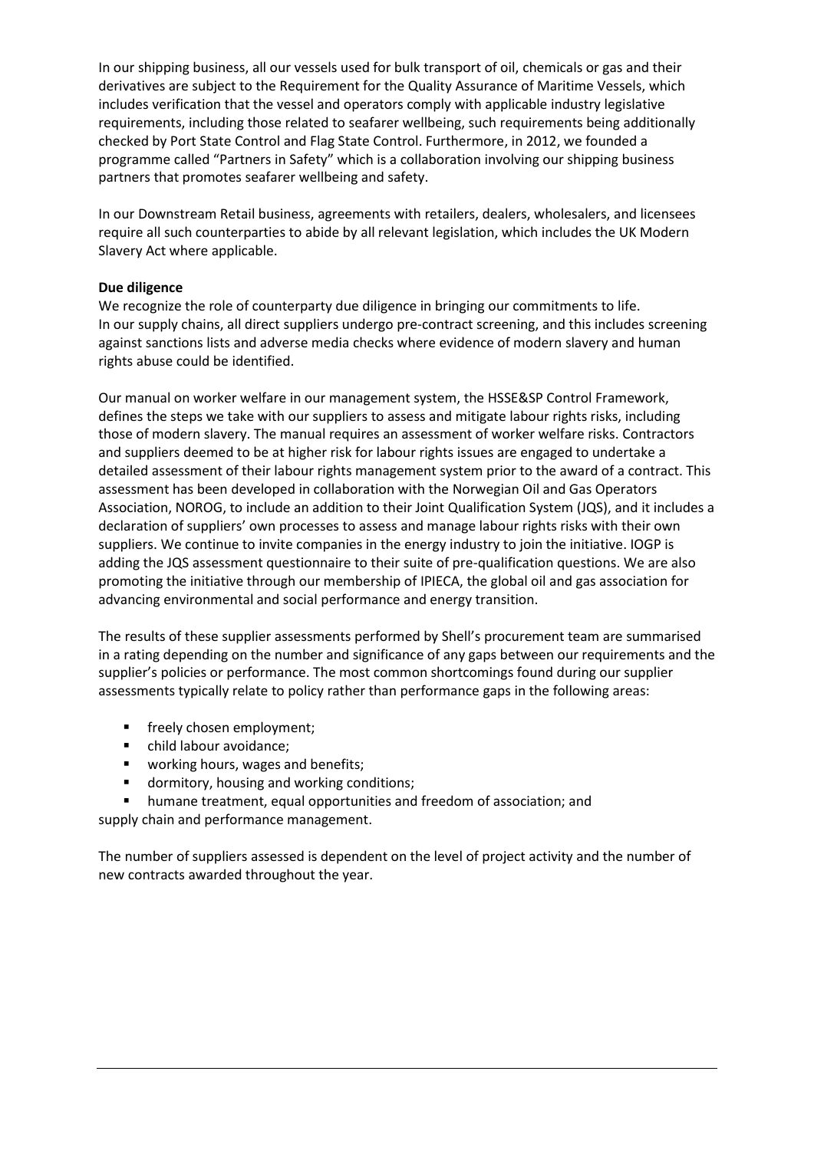In our shipping business, all our vessels used for bulk transport of oil, chemicals or gas and their derivatives are subject to the Requirement for the Quality Assurance of Maritime Vessels, which includes verification that the vessel and operators comply with applicable industry legislative requirements, including those related to seafarer wellbeing, such requirements being additionally checked by Port State Control and Flag State Control. Furthermore, in 2012, we founded a programme called "Partners in Safety" which is a collaboration involving our shipping business partners that promotes seafarer wellbeing and safety.

In our Downstream Retail business, agreements with retailers, dealers, wholesalers, and licensees require all such counterparties to abide by all relevant legislation, which includes the UK Modern Slavery Act where applicable.

### **Due diligence**

We recognize the role of counterparty due diligence in bringing our commitments to life. In our supply chains, all direct suppliers undergo pre-contract screening, and this includes screening against sanctions lists and adverse media checks where evidence of modern slavery and human rights abuse could be identified.

Our manual on worker welfare in our management system, the HSSE&SP Control Framework, defines the steps we take with our suppliers to assess and mitigate labour rights risks, including those of modern slavery. The manual requires an assessment of worker welfare risks. Contractors and suppliers deemed to be at higher risk for labour rights issues are engaged to undertake a detailed assessment of their labour rights management system prior to the award of a contract. This assessment has been developed in collaboration with the Norwegian Oil and Gas Operators Association, NOROG, to include an addition to their Joint Qualification System (JQS), and it includes a declaration of suppliers' own processes to assess and manage labour rights risks with their own suppliers. We continue to invite companies in the energy industry to join the initiative. IOGP is adding the JQS assessment questionnaire to their suite of pre-qualification questions. We are also promoting the initiative through our membership of IPIECA, the global oil and gas association for advancing environmental and social performance and energy transition.

The results of these supplier assessments performed by Shell's procurement team are summarised in a rating depending on the number and significance of any gaps between our requirements and the supplier's policies or performance. The most common shortcomings found during our supplier assessments typically relate to policy rather than performance gaps in the following areas:

- **■** freely chosen employment;
- child labour avoidance;
- working hours, wages and benefits;
- dormitory, housing and working conditions;
- humane treatment, equal opportunities and freedom of association; and supply chain and performance management.

The number of suppliers assessed is dependent on the level of project activity and the number of new contracts awarded throughout the year.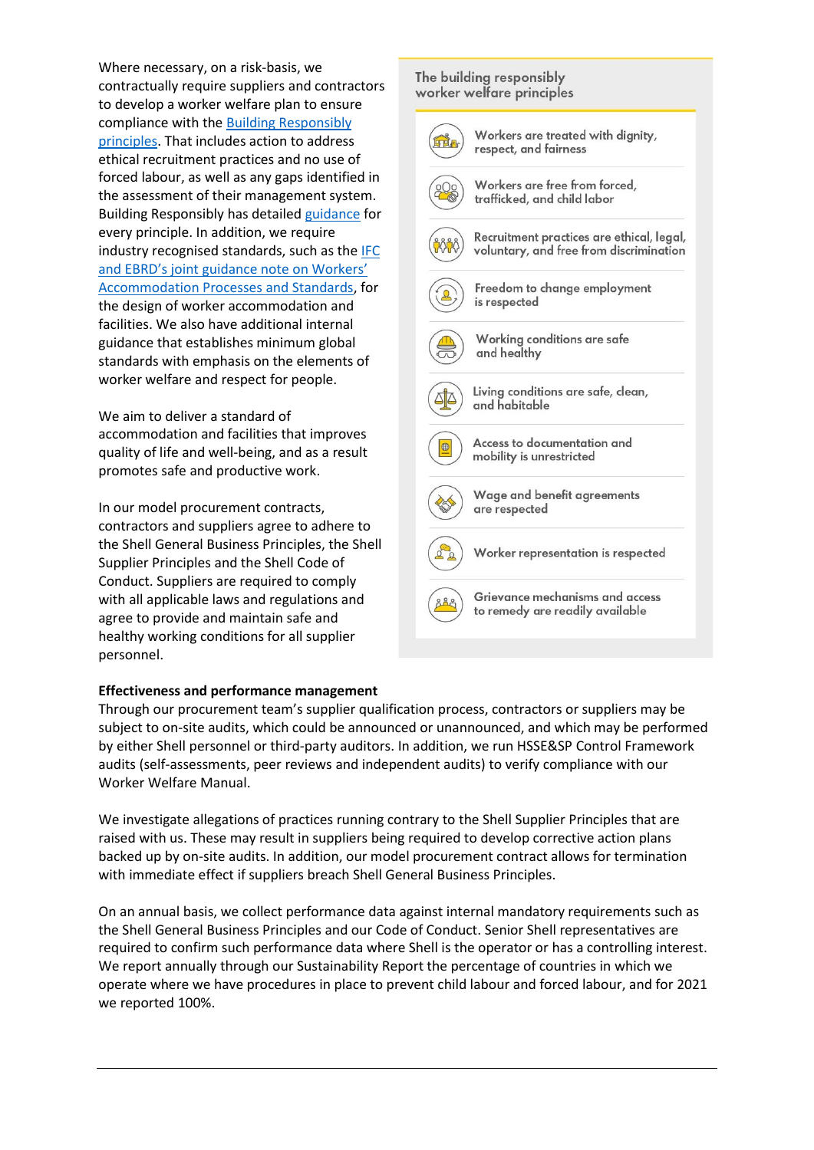Where necessary, on a risk-basis, we contractually require suppliers and contractors to develop a worker welfare plan to ensure compliance with th[e Building Responsibly](https://www.building-responsibly.org/guidance-notes)  [principles.](https://www.building-responsibly.org/guidance-notes) That includes action to address ethical recruitment practices and no use of forced labour, as well as any gaps identified in the assessment of their management system. Building Responsibly has detailed [guidance](https://www.building-responsibly.org/guidance-notes) for every principle. In addition, we require industry recognised standards, such as the [IFC](https://www.ebrd.com/downloads/about/sustainability/Workers_accomodation.pdf)  [and EBRD's joint guidance note on Workers'](https://www.ebrd.com/downloads/about/sustainability/Workers_accomodation.pdf)  [Accommodation Processes and Standards,](https://www.ebrd.com/downloads/about/sustainability/Workers_accomodation.pdf) for the design of worker accommodation and facilities. We also have additional internal guidance that establishes minimum global standards with emphasis on the elements of worker welfare and respect for people.

We aim to deliver a standard of accommodation and facilities that improves quality of life and well-being, and as a result promotes safe and productive work.

In our model procurement contracts, contractors and suppliers agree to adhere to the Shell General Business Principles, the Shell Supplier Principles and the Shell Code of Conduct. Suppliers are required to comply with all applicable laws and regulations and agree to provide and maintain safe and healthy working conditions for all supplier personnel.

### **Effectiveness and performance management**

Through our procurement team's supplier qualification process, contractors or suppliers may be subject to on-site audits, which could be announced or unannounced, and which may be performed by either Shell personnel or third-party auditors. In addition, we run HSSE&SP Control Framework audits (self-assessments, peer reviews and independent audits) to verify compliance with our Worker Welfare Manual.

We investigate allegations of practices running contrary to the Shell Supplier Principles that are raised with us. These may result in suppliers being required to develop corrective action plans backed up by on-site audits. In addition, our model procurement contract allows for termination with immediate effect if suppliers breach Shell General Business Principles.

On an annual basis, we collect performance data against internal mandatory requirements such as the Shell General Business Principles and our Code of Conduct. Senior Shell representatives are required to confirm such performance data where Shell is the operator or has a controlling interest. We report annually through our Sustainability Report the percentage of countries in which we operate where we have procedures in place to prevent child labour and forced labour, and for 2021 we reported 100%.

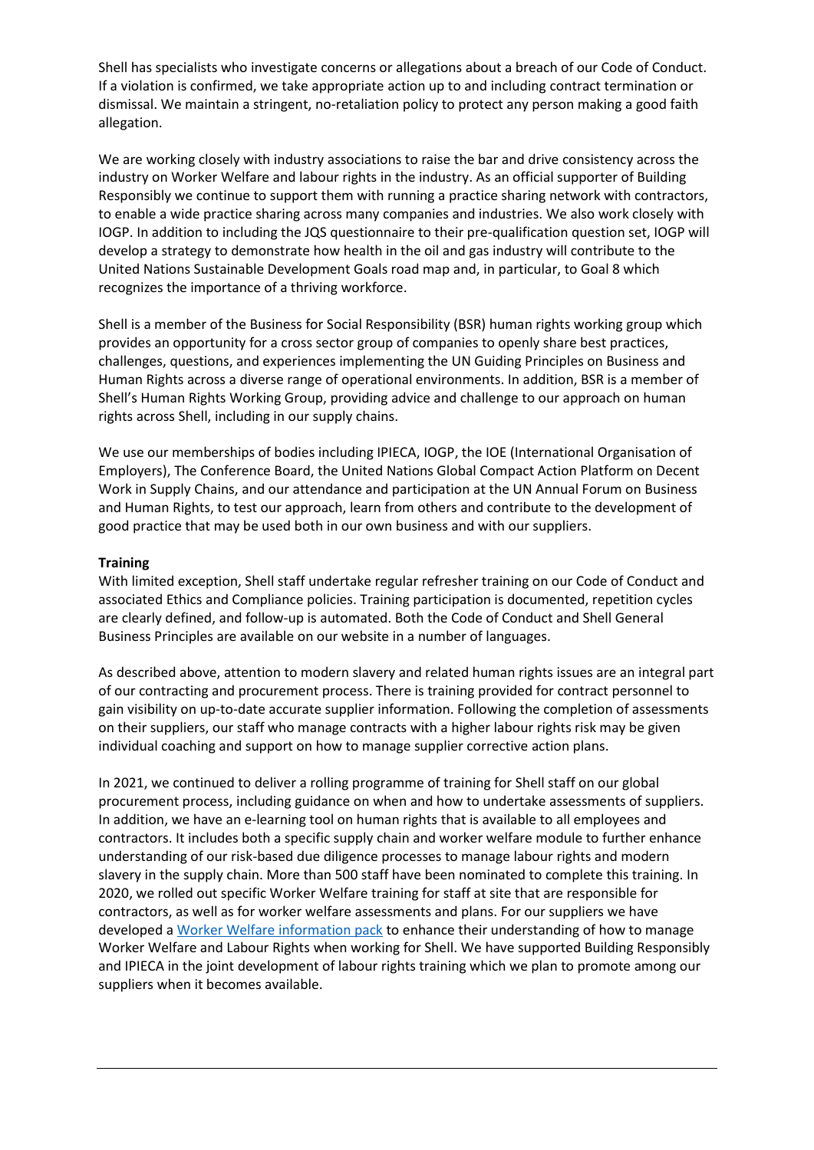Shell has specialists who investigate concerns or allegations about a breach of our Code of Conduct. If a violation is confirmed, we take appropriate action up to and including contract termination or dismissal. We maintain a stringent, no-retaliation policy to protect any person making a good faith allegation.

We are working closely with industry associations to raise the bar and drive consistency across the industry on Worker Welfare and labour rights in the industry. As an official supporter of Building Responsibly we continue to support them with running a practice sharing network with contractors, to enable a wide practice sharing across many companies and industries. We also work closely with IOGP. In addition to including the JQS questionnaire to their pre-qualification question set, IOGP will develop a strategy to demonstrate how health in the oil and gas industry will contribute to the United Nations Sustainable Development Goals road map and, in particular, to Goal 8 which recognizes the importance of a thriving workforce.

Shell is a member of the Business for Social Responsibility (BSR) human rights working group which provides an opportunity for a cross sector group of companies to openly share best practices, challenges, questions, and experiences implementing the UN Guiding Principles on Business and Human Rights across a diverse range of operational environments. In addition, BSR is a member of Shell's Human Rights Working Group, providing advice and challenge to our approach on human rights across Shell, including in our supply chains.

We use our memberships of bodies including IPIECA, IOGP, the IOE (International Organisation of Employers), The Conference Board, the United Nations Global Compact Action Platform on Decent Work in Supply Chains, and our attendance and participation at the UN Annual Forum on Business and Human Rights, to test our approach, learn from others and contribute to the development of good practice that may be used both in our own business and with our suppliers.

### **Training**

With limited exception, Shell staff undertake regular refresher training on our Code of Conduct and associated Ethics and Compliance policies. Training participation is documented, repetition cycles are clearly defined, and follow-up is automated. Both the Code of Conduct and Shell General Business Principles are available on our website in a number of languages.

As described above, attention to modern slavery and related human rights issues are an integral part of our contracting and procurement process. There is training provided for contract personnel to gain visibility on up-to-date accurate supplier information. Following the completion of assessments on their suppliers, our staff who manage contracts with a higher labour rights risk may be given individual coaching and support on how to manage supplier corrective action plans.

In 2021, we continued to deliver a rolling programme of training for Shell staff on our global procurement process, including guidance on when and how to undertake assessments of suppliers. In addition, we have an e-learning tool on human rights that is available to all employees and contractors. It includes both a specific supply chain and worker welfare module to further enhance understanding of our risk-based due diligence processes to manage labour rights and modern slavery in the supply chain. More than 500 staff have been nominated to complete this training. In 2020, we rolled out specific Worker Welfare training for staff at site that are responsible for contractors, as well as for worker welfare assessments and plans. For our suppliers we have developed a [Worker Welfare information pack](https://www.shell.com/sustainability/communities/worker-welfare/_jcr_content/par/textimage_copy.stream/1625826861752/0fc175c2d7b4a7a8e387a18c166f14723c06248b/worker-welfare-information-pack.pdf) to enhance their understanding of how to manage Worker Welfare and Labour Rights when working for Shell. We have supported Building Responsibly and IPIECA in the joint development of labour rights training which we plan to promote among our suppliers when it becomes available.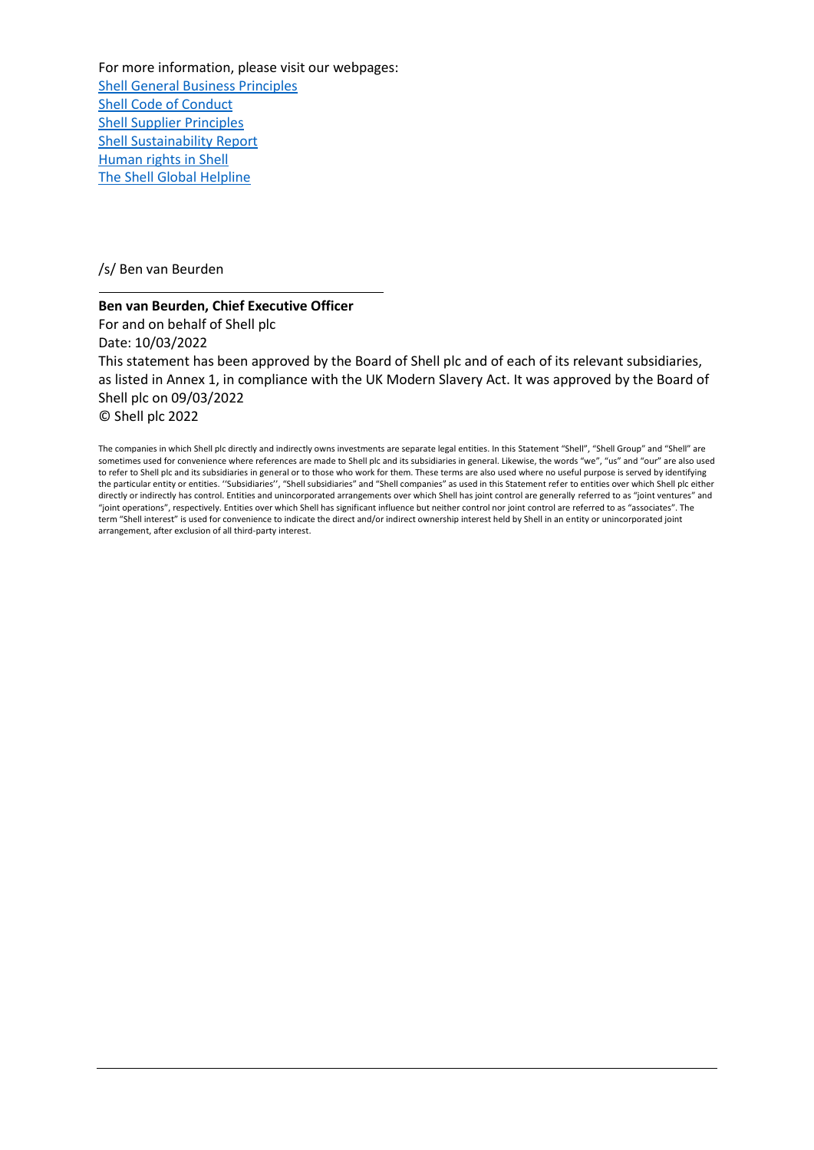For more information, please visit our webpages: [Shell General Business Principles](https://www.shell.com/sustainability/our-approach/commitments-policies-and-standards/business-integrity.html#:~:text=The%20Shell%20General%20Business%20Principles%20govern%20the%20way,to%20shareholders%2C%20customers%2C%20employees%2C%20business%20partners%20and%20society.) [Shell Code of Conduct](https://www.shell.com/about-us/our-values.html) [Shell Supplier Principles](https://www.shell.com/business-customers/shell-for-suppliers/supplier-principles.html#vanity-aHR0cHM6Ly93d3cuc2hlbGwuY29tL3N1cHBsaWVycHJpbmNpcGxlcy5odG1s) [Shell Sustainability Report](https://www.shell.com/sustainability/transparency-and-sustainability-reporting/sustainability-reports.html#vanity-aHR0cHM6Ly93d3cuc2hlbGwuY29tL3N1c3RhaW5hYmlsaXR5L3N1c3RhaW5hYmlsaXR5LXJlcG9ydGluZy1hbmQtcGVyZm9ybWFuY2UtZGF0YS9zdXN0YWluYWJpbGl0eS1yZXBvcnRzLmh0bWw) [Human rights in Shell](https://www.shell.com/sustainability/communities/human-rights.html#vanity-aHR0cHM6Ly93d3cuc2hlbGwuY29tL3N1c3RhaW5hYmlsaXR5L3RyYW5zcGFyZW5jeS9odW1hbi1yaWdodHMuaHRtbA=true&iframe=L3dlYmFwcHMvU3VzdGFpbmFiaWxpdHlfcmVwb3J0XzIwMTkv) [The Shell Global Helpline](https://www.shell.com/about-us/our-values/shell-global-helpline.html)

/s/ Ben van Beurden

# **Ben van Beurden, Chief Executive Officer**  For and on behalf of Shell plc Date: 10/03/2022 This statement has been approved by the Board of Shell plc and of each of its relevant subsidiaries, as listed in Annex 1, in compliance with the UK Modern Slavery Act. It was approved by the Board of Shell plc on 09/03/2022 © Shell plc 2022

The companies in which Shell plc directly and indirectly owns investments are separate legal entities. In this Statement "Shell", "Shell Group" and "Shell" are sometimes used for convenience where references are made to Shell plc and its subsidiaries in general. Likewise, the words "we", "us" and "our" are also used to refer to Shell plc and its subsidiaries in general or to those who work for them. These terms are also used where no useful purpose is served by identifying the particular entity or entities. ''Subsidiaries'', "Shell subsidiaries" and "Shell companies" as used in this Statement refer to entities over which Shell plc either directly or indirectly has control. Entities and unincorporated arrangements over which Shell has joint control are generally referred to as "joint ventures" and "joint operations", respectively. Entities over which Shell has significant influence but neither control nor joint control are referred to as "associates". The term "Shell interest" is used for convenience to indicate the direct and/or indirect ownership interest held by Shell in an entity or unincorporated joint arrangement, after exclusion of all third-party interest.